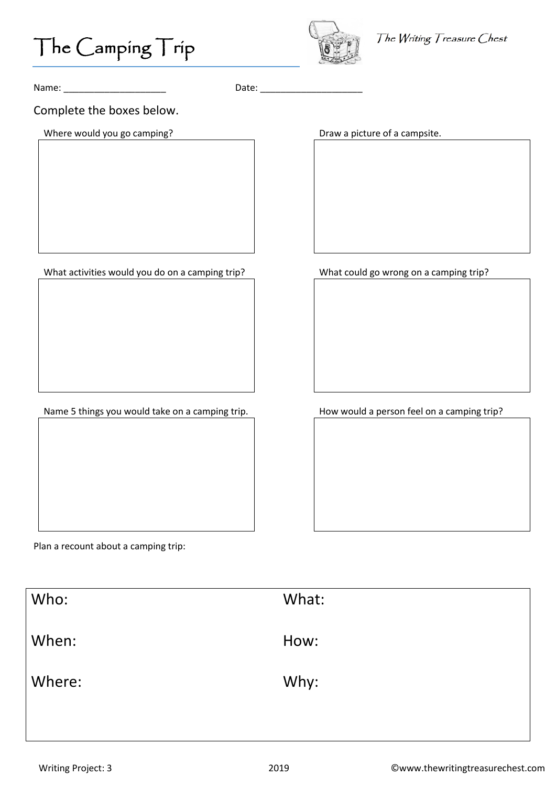

The Writing Treasure Chest

Name: \_\_\_\_\_\_\_\_\_\_\_\_\_\_\_\_\_\_\_\_ Date: \_\_\_\_\_\_\_\_\_\_\_\_\_\_\_\_\_\_\_\_

Complete the boxes below.

Where would you go camping? The matrix of a campsite of a campsite.

What activities would you do on a camping trip?<br>What could go wrong on a camping trip?

Name 5 things you would take on a camping trip. How would a person feel on a camping trip?

Plan a recount about a camping trip:

| Who:   | What: |
|--------|-------|
| When:  | How:  |
| Where: | Why:  |
|        |       |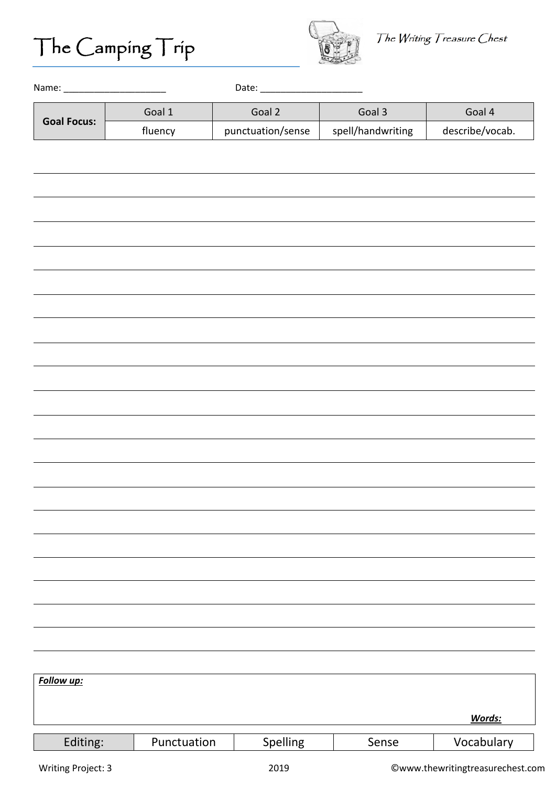

| <b>Goal Focus:</b> | Goal 1      | Goal 2            | Goal 3            | Goal 4          |
|--------------------|-------------|-------------------|-------------------|-----------------|
|                    | fluency     | punctuation/sense | spell/handwriting | describe/vocab. |
|                    |             |                   |                   |                 |
|                    |             |                   |                   |                 |
|                    |             |                   |                   |                 |
|                    |             |                   |                   |                 |
|                    |             |                   |                   |                 |
|                    |             |                   |                   |                 |
|                    |             |                   |                   |                 |
|                    |             |                   |                   |                 |
|                    |             |                   |                   |                 |
|                    |             |                   |                   |                 |
|                    |             |                   |                   |                 |
|                    |             |                   |                   |                 |
|                    |             |                   |                   |                 |
|                    |             |                   |                   |                 |
|                    |             |                   |                   |                 |
|                    |             |                   |                   |                 |
|                    |             |                   |                   |                 |
|                    |             |                   |                   |                 |
|                    |             |                   |                   |                 |
|                    |             |                   |                   |                 |
|                    |             |                   |                   |                 |
|                    |             |                   |                   |                 |
|                    |             |                   |                   |                 |
|                    |             |                   |                   |                 |
|                    |             |                   |                   |                 |
| Follow up:         |             |                   |                   |                 |
|                    |             |                   |                   | Words:          |
|                    |             |                   |                   |                 |
| Editing:           | Punctuation | Spelling          | Sense             | Vocabulary      |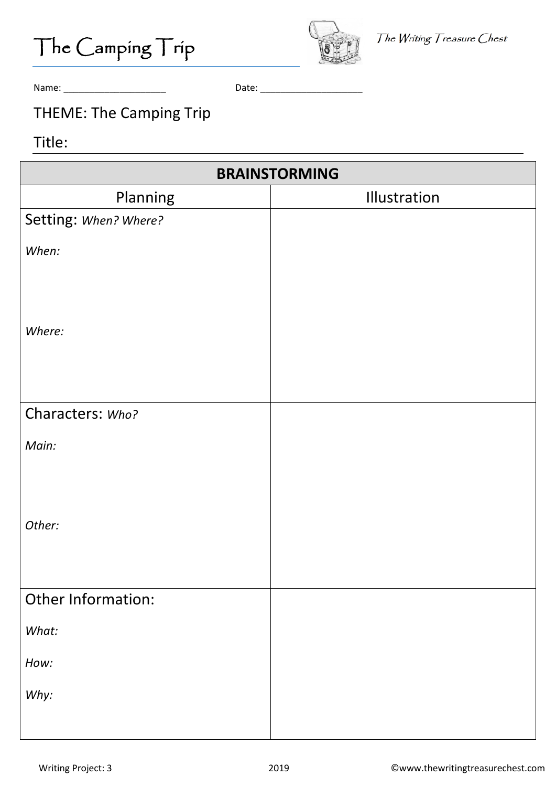



Name: \_\_\_\_\_\_\_\_\_\_\_\_\_\_\_\_\_\_\_\_ Date: \_\_\_\_\_\_\_\_\_\_\_\_\_\_\_\_\_\_\_\_

### THEME: The Camping Trip

#### Title:

| <b>BRAINSTORMING</b>  |              |  |  |
|-----------------------|--------------|--|--|
| Planning              | Illustration |  |  |
| Setting: When? Where? |              |  |  |
| When:                 |              |  |  |
| Where:                |              |  |  |
| Characters: Who?      |              |  |  |
| Main:                 |              |  |  |
| Other:                |              |  |  |
| Other Information:    |              |  |  |
| What:                 |              |  |  |
| How:                  |              |  |  |
| Why:                  |              |  |  |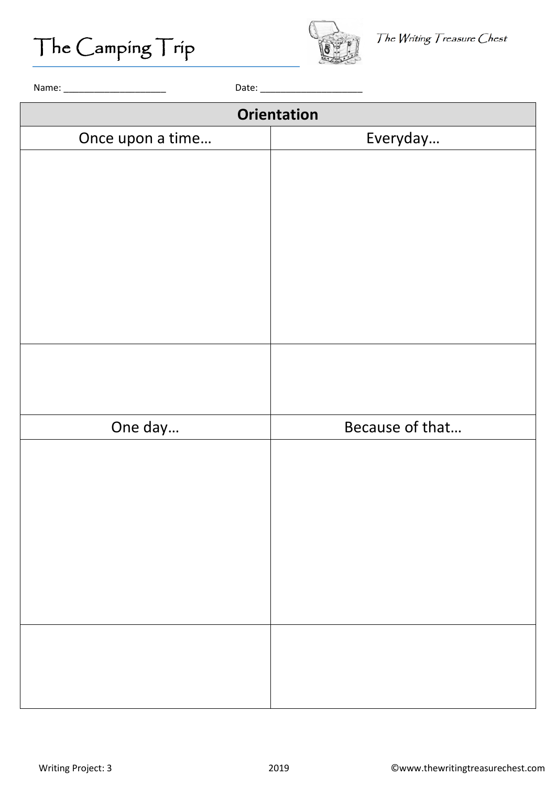

| <b>Orientation</b> |                 |  |
|--------------------|-----------------|--|
| Once upon a time   | Everyday        |  |
|                    |                 |  |
|                    |                 |  |
|                    |                 |  |
|                    |                 |  |
|                    |                 |  |
|                    |                 |  |
|                    |                 |  |
|                    |                 |  |
|                    |                 |  |
|                    |                 |  |
|                    |                 |  |
| One day            | Because of that |  |
|                    |                 |  |
|                    |                 |  |
|                    |                 |  |
|                    |                 |  |
|                    |                 |  |
|                    |                 |  |
|                    |                 |  |
|                    |                 |  |
|                    |                 |  |
|                    |                 |  |
|                    |                 |  |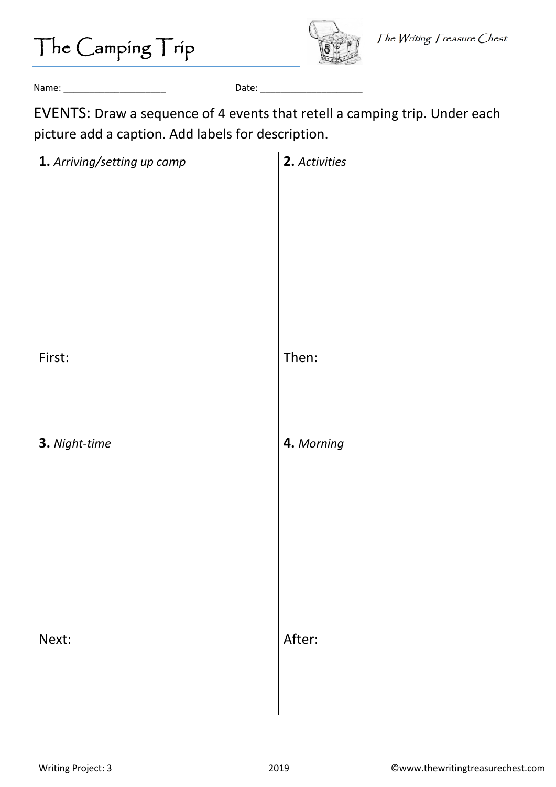The Camping Trip



Name: \_\_\_\_\_\_\_\_\_\_\_\_\_\_\_\_\_\_\_\_ Date: \_\_\_\_\_\_\_\_\_\_\_\_\_\_\_\_\_\_\_\_

EVENTS: Draw a sequence of 4 events that retell a camping trip. Under each picture add a caption. Add labels for description.

| 1. Arriving/setting up camp | 2. Activities |
|-----------------------------|---------------|
|                             |               |
|                             |               |
|                             |               |
|                             |               |
|                             |               |
|                             |               |
|                             |               |
|                             |               |
|                             |               |
| First:                      | Then:         |
|                             |               |
|                             |               |
|                             |               |
| 3. Night-time               | 4. Morning    |
|                             |               |
|                             |               |
|                             |               |
|                             |               |
|                             |               |
|                             |               |
|                             |               |
|                             |               |
|                             |               |
| Next:                       | After:        |
|                             |               |
|                             |               |
|                             |               |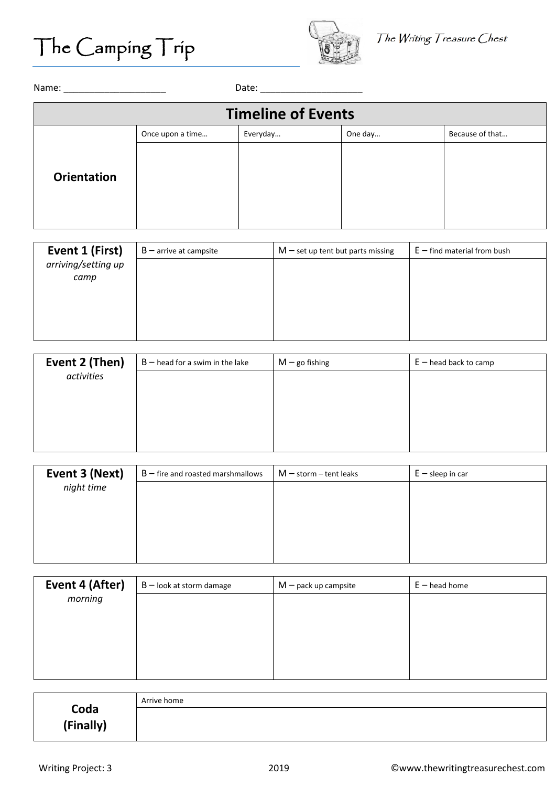

| <b>Timeline of Events</b> |                  |          |         |                 |
|---------------------------|------------------|----------|---------|-----------------|
|                           | Once upon a time | Everyday | One day | Because of that |
| <b>Orientation</b>        |                  |          |         |                 |

| Event 1 (First)             | $B$ – arrive at campsite | $M$ – set up tent but parts missing | $E$ – find material from bush |
|-----------------------------|--------------------------|-------------------------------------|-------------------------------|
| arriving/setting up<br>camp |                          |                                     |                               |
|                             |                          |                                     |                               |
|                             |                          |                                     |                               |
|                             |                          |                                     |                               |

| Event 2 (Then) | $B$ – head for a swim in the lake | $M$ – go fishing | $E$ – head back to camp |
|----------------|-----------------------------------|------------------|-------------------------|
| activities     |                                   |                  |                         |
|                |                                   |                  |                         |
|                |                                   |                  |                         |
|                |                                   |                  |                         |
|                |                                   |                  |                         |

| Event 3 (Next) | $B$ – fire and roasted marshmallows | $M$ – storm – tent leaks | $E -$ sleep in car |
|----------------|-------------------------------------|--------------------------|--------------------|
| night time     |                                     |                          |                    |
|                |                                     |                          |                    |
|                |                                     |                          |                    |
|                |                                     |                          |                    |
|                |                                     |                          |                    |
|                |                                     |                          |                    |

| Event 4 (After) | $B$ – look at storm damage | $M$ – pack up campsite | $E$ – head home |
|-----------------|----------------------------|------------------------|-----------------|
| morning         |                            |                        |                 |
|                 |                            |                        |                 |
|                 |                            |                        |                 |
|                 |                            |                        |                 |
|                 |                            |                        |                 |

|                   | Arrive home |
|-------------------|-------------|
| Coda<br>(Finally) |             |
|                   |             |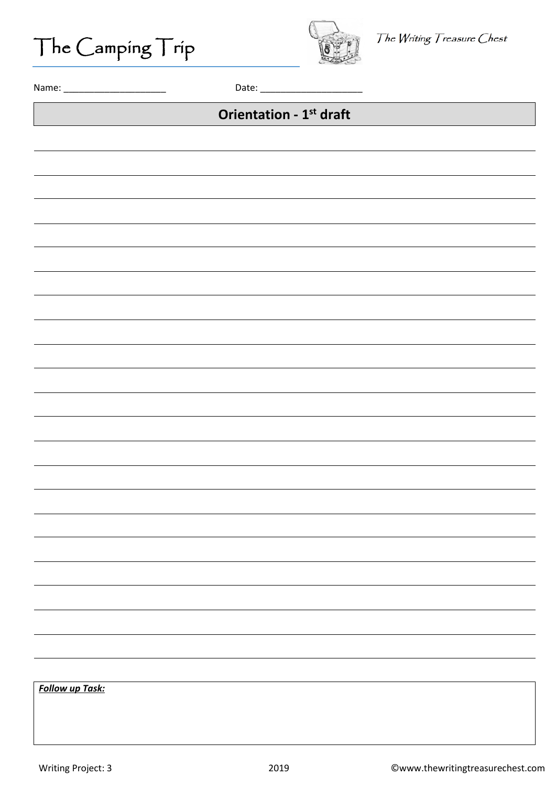The Camping Trip



Name: \_\_\_\_\_\_\_\_\_\_\_\_\_\_\_\_\_\_\_\_ Date: \_\_\_\_\_\_\_\_\_\_\_\_\_\_\_\_\_\_\_\_

### **Orientation - 1st draft**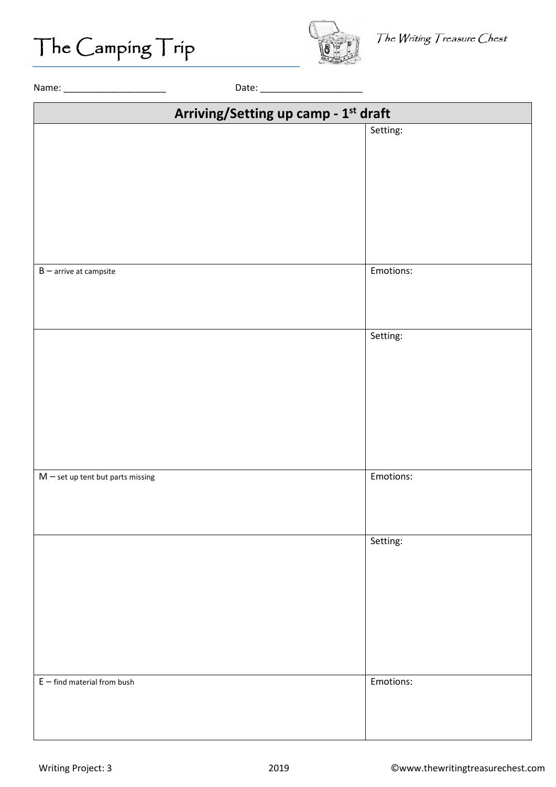

| Setting:<br>Emotions:<br>$B$ – arrive at campsite<br>Setting:<br>Emotions:<br>$M$ – set up tent but parts missing<br>Setting: | Arriving/Setting up camp - 1st draft |  |  |
|-------------------------------------------------------------------------------------------------------------------------------|--------------------------------------|--|--|
|                                                                                                                               |                                      |  |  |
|                                                                                                                               |                                      |  |  |
|                                                                                                                               |                                      |  |  |
|                                                                                                                               |                                      |  |  |
|                                                                                                                               |                                      |  |  |
|                                                                                                                               |                                      |  |  |
|                                                                                                                               |                                      |  |  |
|                                                                                                                               |                                      |  |  |
|                                                                                                                               |                                      |  |  |
|                                                                                                                               |                                      |  |  |
|                                                                                                                               |                                      |  |  |
|                                                                                                                               |                                      |  |  |
|                                                                                                                               |                                      |  |  |
|                                                                                                                               |                                      |  |  |
|                                                                                                                               |                                      |  |  |
|                                                                                                                               |                                      |  |  |
|                                                                                                                               |                                      |  |  |
|                                                                                                                               |                                      |  |  |
|                                                                                                                               |                                      |  |  |
|                                                                                                                               |                                      |  |  |
|                                                                                                                               |                                      |  |  |
|                                                                                                                               |                                      |  |  |
|                                                                                                                               |                                      |  |  |
|                                                                                                                               |                                      |  |  |
|                                                                                                                               |                                      |  |  |
|                                                                                                                               |                                      |  |  |
|                                                                                                                               |                                      |  |  |
| Emotions:<br>$E$ – find material from bush                                                                                    |                                      |  |  |
|                                                                                                                               |                                      |  |  |
|                                                                                                                               |                                      |  |  |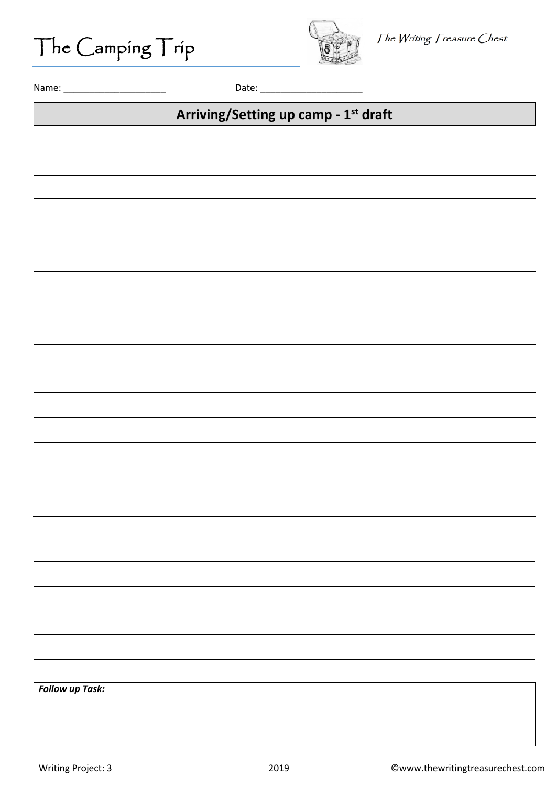The Camping Trip



Name: \_\_\_\_\_\_\_\_\_\_\_\_\_\_\_\_\_\_\_\_ Date: \_\_\_\_\_\_\_\_\_\_\_\_\_\_\_\_\_\_\_\_

### **Arriving/Setting up camp - 1st draft**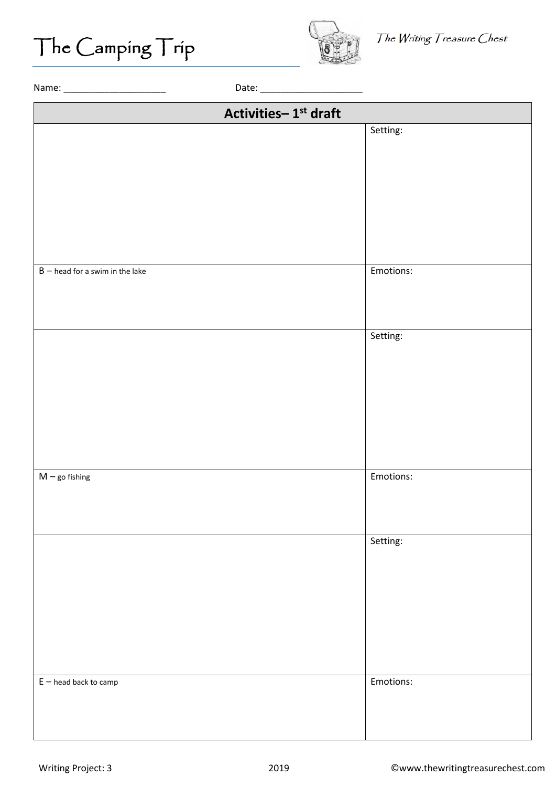

The Writing Treasure Chest

| Activities-1 <sup>st</sup> draft  |           |
|-----------------------------------|-----------|
|                                   | Setting:  |
|                                   |           |
|                                   |           |
|                                   |           |
|                                   |           |
|                                   |           |
|                                   |           |
|                                   |           |
| $B$ – head for a swim in the lake | Emotions: |
|                                   |           |
|                                   |           |
|                                   | Setting:  |
|                                   |           |
|                                   |           |
|                                   |           |
|                                   |           |
|                                   |           |
|                                   |           |
|                                   |           |
| $M$ – go fishing                  | Emotions: |
|                                   |           |
|                                   |           |
|                                   |           |
|                                   | Setting:  |
|                                   |           |
|                                   |           |
|                                   |           |
|                                   |           |
|                                   |           |
|                                   |           |
| $E$ – head back to camp           | Emotions: |
|                                   |           |
|                                   |           |
|                                   |           |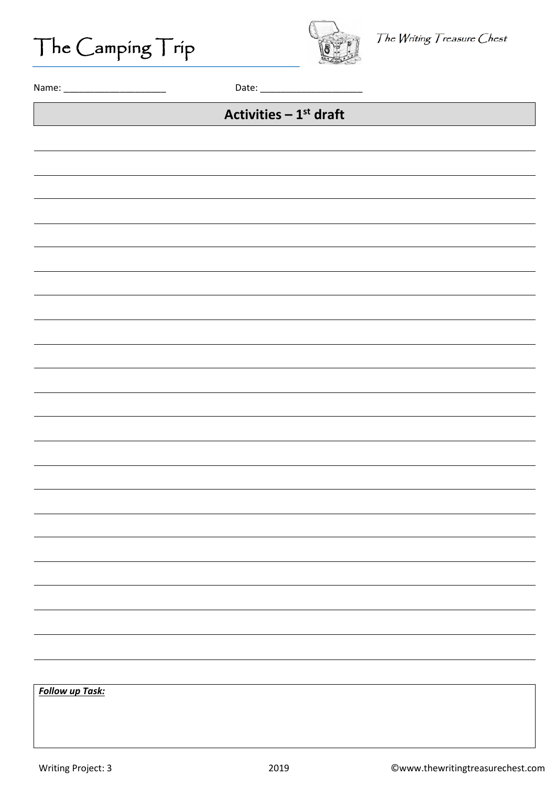The Camping Trip



Name: \_\_\_\_\_\_\_\_\_\_\_\_\_\_\_\_\_\_\_\_ Date: \_\_\_\_\_\_\_\_\_\_\_\_\_\_\_\_\_\_\_\_

### **Activities – 1st draft**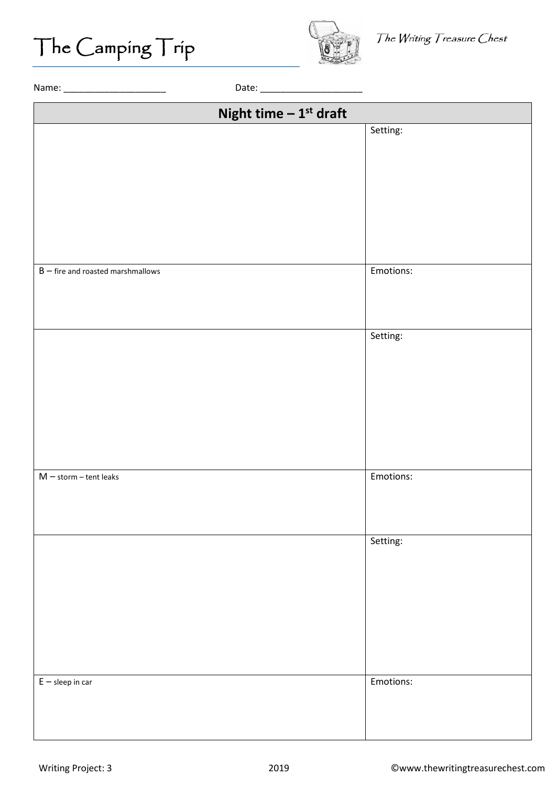

The Writing Treasure Chest

| Night time $-1^{st}$ draft          |           |
|-------------------------------------|-----------|
|                                     | Setting:  |
|                                     |           |
|                                     |           |
|                                     |           |
|                                     |           |
|                                     |           |
|                                     |           |
|                                     |           |
|                                     |           |
| $B$ – fire and roasted marshmallows | Emotions: |
|                                     |           |
|                                     |           |
|                                     |           |
|                                     | Setting:  |
|                                     |           |
|                                     |           |
|                                     |           |
|                                     |           |
|                                     |           |
|                                     |           |
|                                     |           |
| $M$ - storm - tent leaks            | Emotions: |
|                                     |           |
|                                     |           |
|                                     |           |
|                                     | Setting:  |
|                                     |           |
|                                     |           |
|                                     |           |
|                                     |           |
|                                     |           |
|                                     |           |
|                                     |           |
|                                     |           |
| $E -$ sleep in car                  | Emotions: |
|                                     |           |
|                                     |           |
|                                     |           |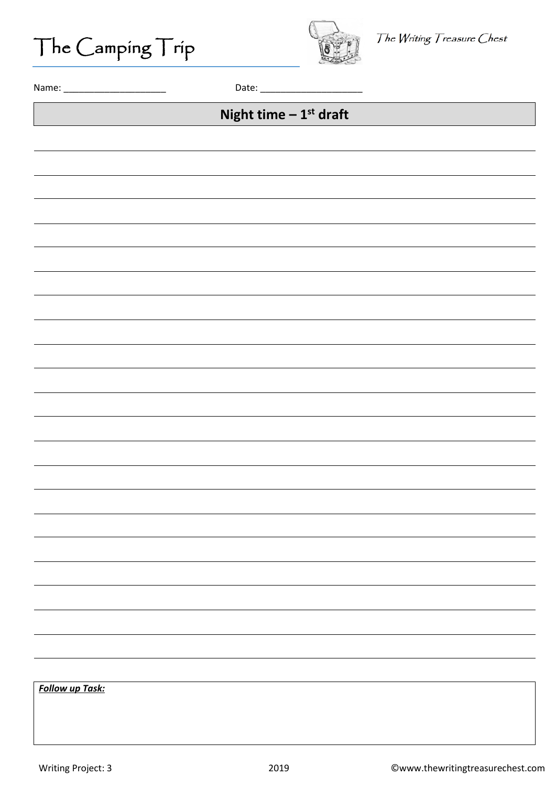The Camping Trip



Name: \_\_\_\_\_\_\_\_\_\_\_\_\_\_\_\_\_\_\_\_ Date: \_\_\_\_\_\_\_\_\_\_\_\_\_\_\_\_\_\_\_\_

### **Night time – 1st draft**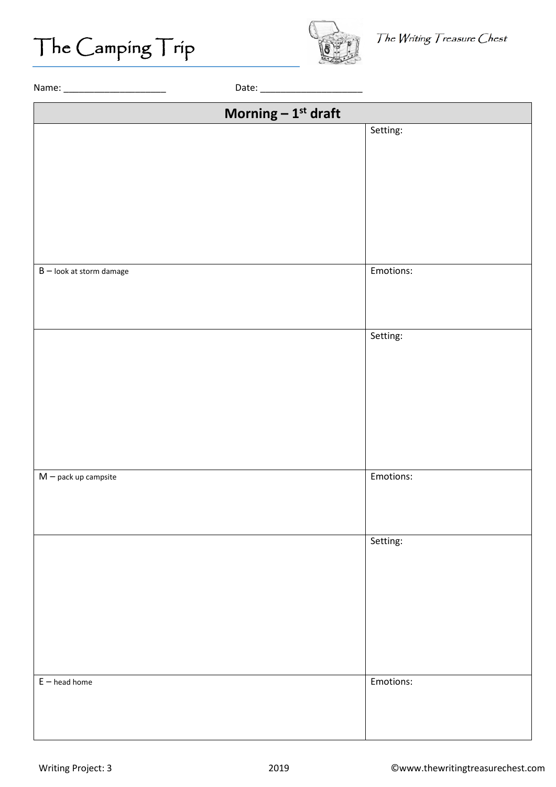

The Writing Treasure Chest

| Morning $-1^{st}$ draft    |           |
|----------------------------|-----------|
|                            | Setting:  |
|                            |           |
|                            |           |
|                            |           |
|                            |           |
|                            |           |
|                            |           |
|                            |           |
|                            |           |
| $B$ – look at storm damage | Emotions: |
|                            |           |
|                            |           |
|                            |           |
|                            | Setting:  |
|                            |           |
|                            |           |
|                            |           |
|                            |           |
|                            |           |
|                            |           |
|                            |           |
|                            |           |
| $M$ – pack up campsite     | Emotions: |
|                            |           |
|                            |           |
|                            |           |
|                            | Setting:  |
|                            |           |
|                            |           |
|                            |           |
|                            |           |
|                            |           |
|                            |           |
|                            |           |
|                            |           |
| $E$ – head home            | Emotions: |
|                            |           |
|                            |           |
|                            |           |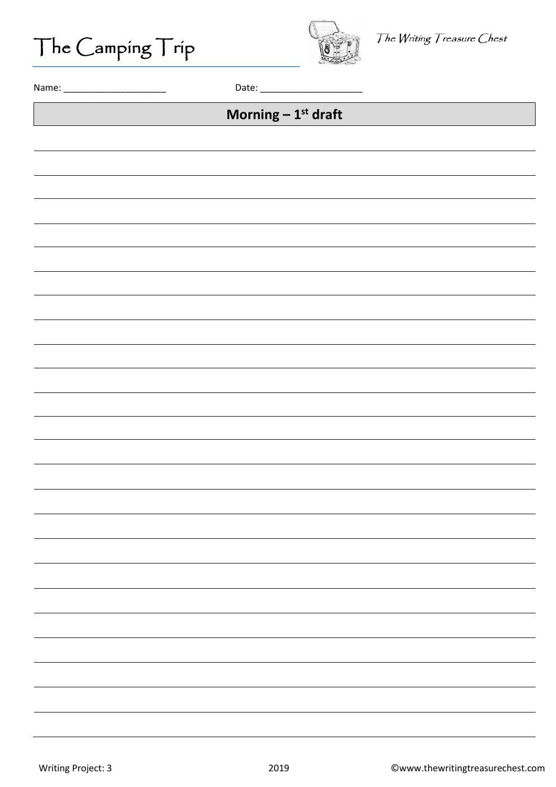The Camping Trip



Name: \_\_\_\_\_\_\_\_\_\_\_\_\_\_\_\_\_\_\_\_ Date: \_\_\_\_\_\_\_\_\_\_\_\_\_\_\_\_\_\_\_\_

### **Morning – 1st draft**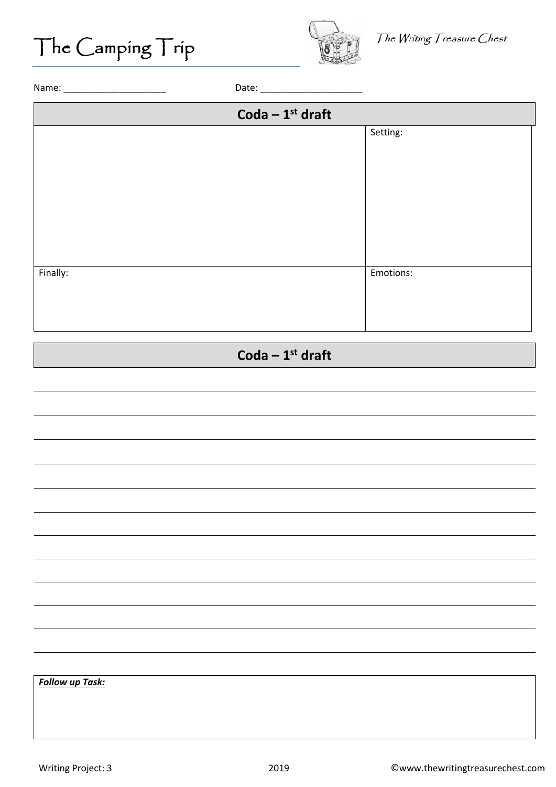

Name: \_\_\_\_\_\_\_\_\_\_\_\_\_\_\_\_\_\_\_\_ Date: \_\_\_\_\_\_\_\_\_\_\_\_\_\_\_\_\_\_\_\_

|          | Coda $-1^{st}$ draft |
|----------|----------------------|
|          | Setting:             |
|          |                      |
|          |                      |
|          |                      |
|          |                      |
|          |                      |
|          |                      |
|          |                      |
| Finally: | Emotions:            |
|          |                      |
|          |                      |
|          |                      |
|          |                      |

### **Coda – 1st draft**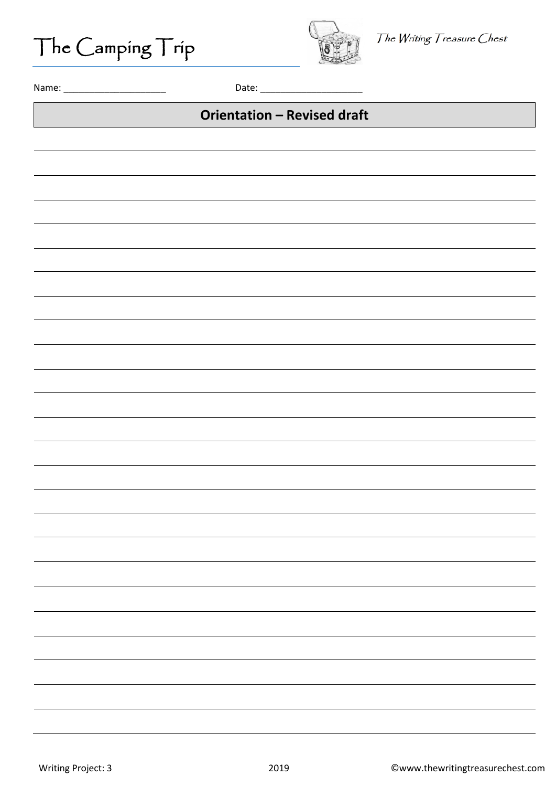The Camping Trip



Name: \_\_\_\_\_\_\_\_\_\_\_\_\_\_\_\_\_\_\_\_ Date: \_\_\_\_\_\_\_\_\_\_\_\_\_\_\_\_\_\_\_\_

#### **Orientation – Revised draft**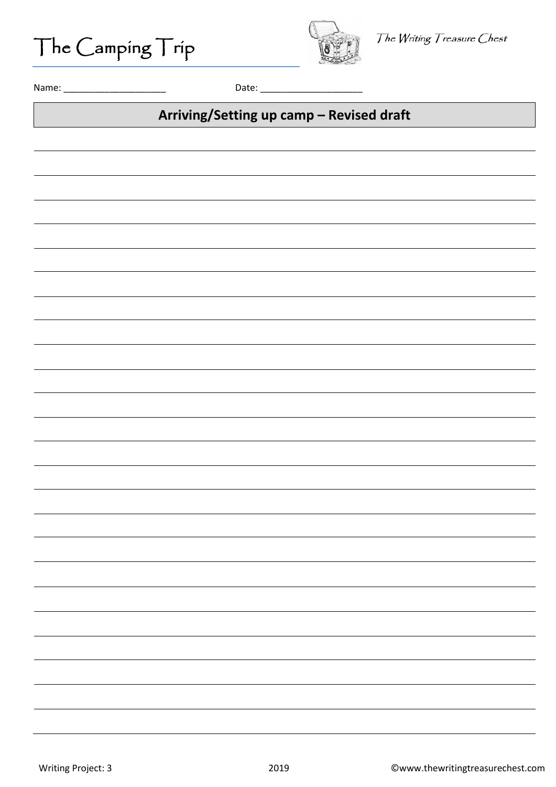The Camping Trip



Name: \_\_\_\_\_\_\_\_\_\_\_\_\_\_\_\_\_\_\_\_ Date: \_\_\_\_\_\_\_\_\_\_\_\_\_\_\_\_\_\_\_\_

#### **Arriving/Setting up camp – Revised draft**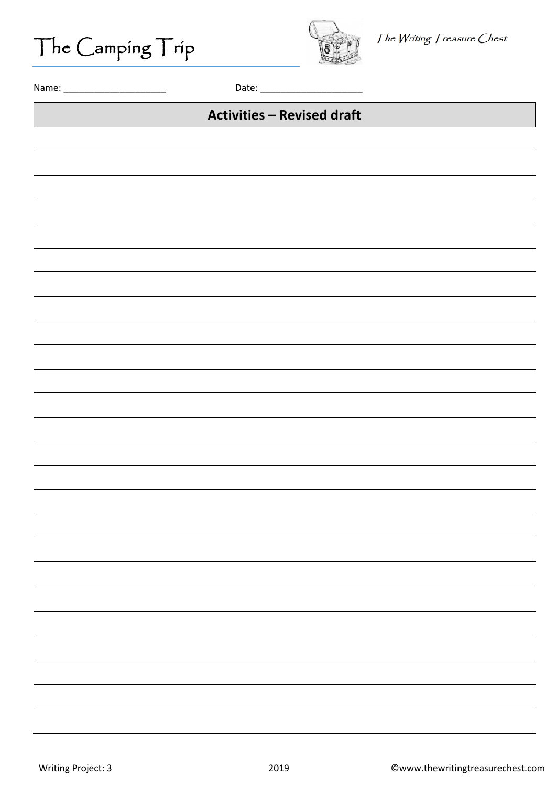The Camping Trip



Name: \_\_\_\_\_\_\_\_\_\_\_\_\_\_\_\_\_\_\_\_ Date: \_\_\_\_\_\_\_\_\_\_\_\_\_\_\_\_\_\_\_\_

#### **Activities – Revised draft**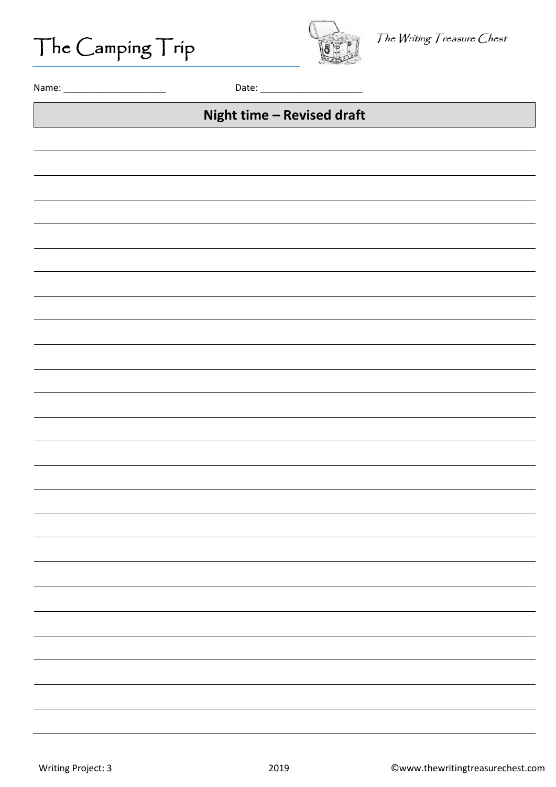The Camping Trip



Name: \_\_\_\_\_\_\_\_\_\_\_\_\_\_\_\_\_\_\_\_ Date: \_\_\_\_\_\_\_\_\_\_\_\_\_\_\_\_\_\_\_\_

#### **Night time – Revised draft**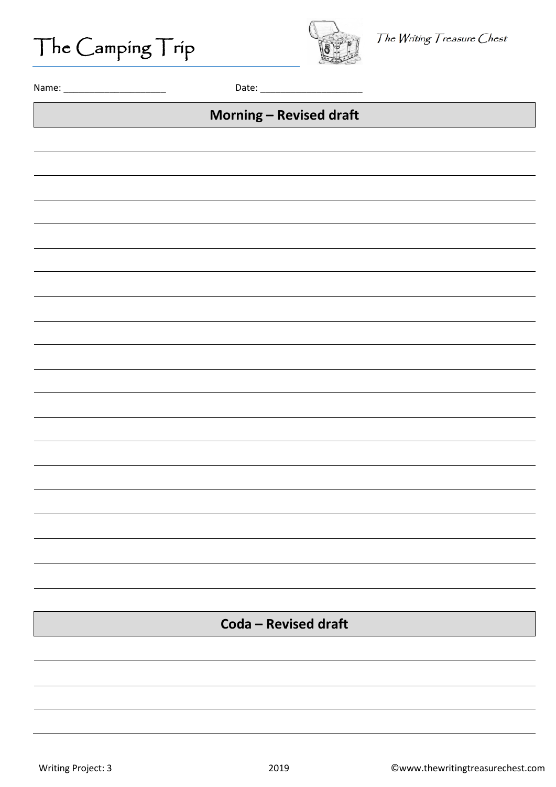The Camping Trip



Name: \_\_\_\_\_\_\_\_\_\_\_\_\_\_\_\_\_\_\_\_ Date: \_\_\_\_\_\_\_\_\_\_\_\_\_\_\_\_\_\_\_\_

#### **Morning – Revised draft**

**Coda – Revised draft**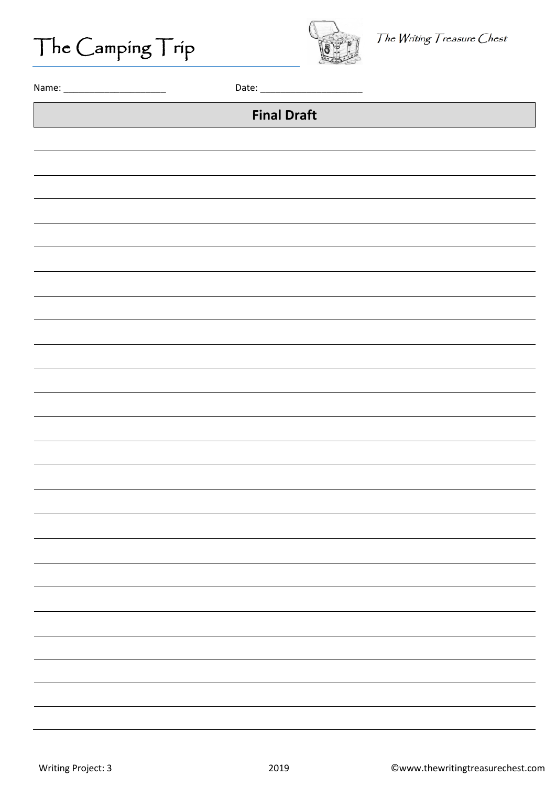The Camping Trip



Name: \_\_\_\_\_\_\_\_\_\_\_\_\_\_\_\_\_\_\_\_ Date: \_\_\_\_\_\_\_\_\_\_\_\_\_\_\_\_\_\_\_\_

#### **Final Draft**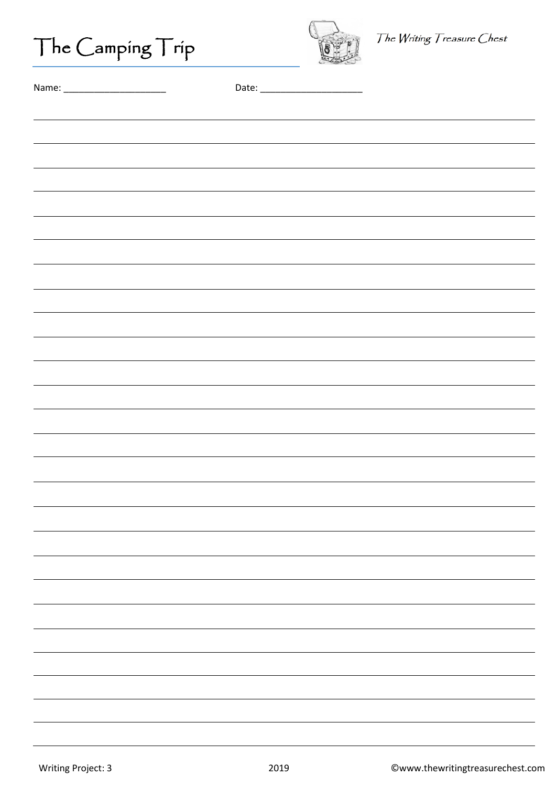| $\vert$ ne $\vert$ amping $\vert$ rip |  |
|---------------------------------------|--|



| Name |  |
|------|--|
|------|--|

| ,我们也不会有什么。""我们的人,我们也不会有什么?""我们的人,我们也不会有什么?""我们的人,我们也不会有什么?""我们的人,我们也不会有什么?""我们的人 |  |
|----------------------------------------------------------------------------------|--|
| ,我们也不会有什么。""我们的人,我们也不会有什么?""我们的人,我们也不会有什么?""我们的人,我们也不会有什么?""我们的人,我们也不会有什么?""我们的人 |  |
|                                                                                  |  |
|                                                                                  |  |
|                                                                                  |  |
|                                                                                  |  |
|                                                                                  |  |
|                                                                                  |  |
|                                                                                  |  |
|                                                                                  |  |
|                                                                                  |  |
|                                                                                  |  |
|                                                                                  |  |
|                                                                                  |  |
|                                                                                  |  |
|                                                                                  |  |